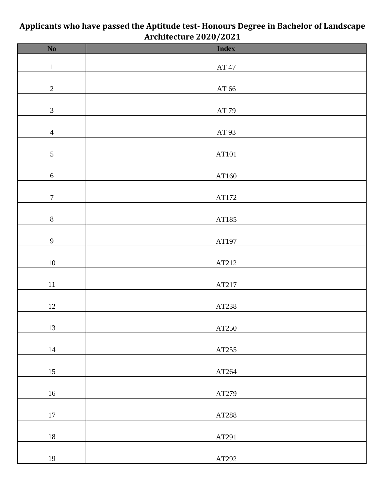| $\frac{1}{100}$ concerned by $\frac{1}{100}$ by $\frac{1}{100}$ |                        |  |
|-----------------------------------------------------------------|------------------------|--|
| $\overline{\text{No}}$                                          | <b>Index</b>           |  |
| $\,1\,$                                                         | $\operatorname{AT}$ 47 |  |
|                                                                 |                        |  |
| $\overline{2}$                                                  | AT $66\,$              |  |
|                                                                 |                        |  |
| $\mathfrak{Z}$                                                  | $\operatorname{AT}$ 79 |  |
| $\overline{4}$                                                  | $\operatorname{AT}93$  |  |
|                                                                 |                        |  |
| $\mathfrak{S}$                                                  | $\operatorname{AT101}$ |  |
| $\sqrt{6}$                                                      | AT160                  |  |
|                                                                 |                        |  |
| $\boldsymbol{7}$                                                | $\operatorname{ATI72}$ |  |
| $\,8\,$                                                         |                        |  |
|                                                                 | AT185                  |  |
| $\overline{9}$                                                  | AT197                  |  |
|                                                                 |                        |  |
| $10\,$                                                          | AT212                  |  |
| $11\,$                                                          | AT217                  |  |
|                                                                 |                        |  |
| $12\,$                                                          | AT238                  |  |
| 13                                                              | AT250                  |  |
|                                                                 |                        |  |
| $14\,$                                                          | AT255                  |  |
| 15                                                              | AT264                  |  |
|                                                                 |                        |  |
| $16\,$                                                          | AT279                  |  |
|                                                                 |                        |  |
| $17\,$                                                          | AT288                  |  |
| $18\,$                                                          | AT291                  |  |
|                                                                 |                        |  |

AT292

## **Applicants who have passed the Aptitude test- Honours Degree in Bachelor of Landscape Architecture 2020/2021**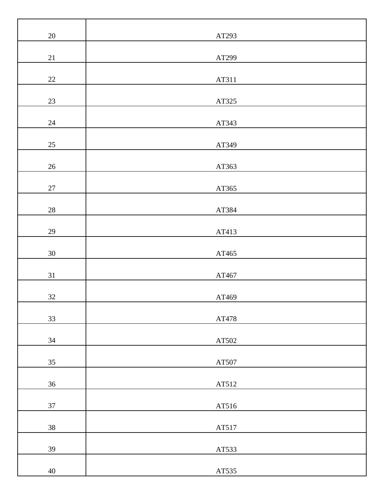| $20\,$ | AT293                  |
|--------|------------------------|
| $21\,$ | AT299                  |
| $22\,$ | AT311                  |
| $23\,$ | AT325                  |
| 24     | AT343                  |
| $25\,$ | AT349                  |
| $26\,$ | AT363                  |
| $27\,$ | AT365                  |
| $28\,$ | AT384                  |
| $29\,$ | AT413                  |
| $30\,$ | AT465                  |
| 31     | AT467                  |
| 32     | AT469                  |
| 33     | AT478                  |
| 34     | AT502                  |
| 35     | $\operatorname{AT507}$ |
| 36     | AT512                  |
| 37     | AT516                  |
| 38     | AT517                  |
| 39     | AT533                  |
| $40\,$ | $\operatorname{AT535}$ |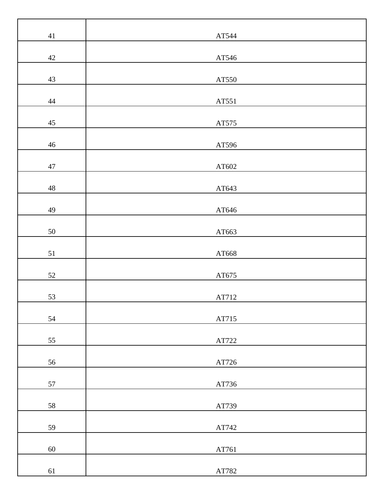| $41\,$      | AT544                  |
|-------------|------------------------|
| $42\,$      | AT546                  |
| $43\,$      | AT550                  |
| $44\,$      | AT551                  |
| $45\,$      | $\operatorname{AT575}$ |
| $46\,$      | AT596                  |
| $47\,$      | AT602                  |
| $\sqrt{48}$ | AT643                  |
| 49          | AT646                  |
| $50\,$      | AT663                  |
| $51\,$      | AT668                  |
| $52\,$      | AT675                  |
| 53          | AT712                  |
| 54          | AT715                  |
| 55          | AT722                  |
| 56          | AT726                  |
| 57          | AT736                  |
| 58          | AT739                  |
| 59          | AT742                  |
| 60          | $\operatorname{AT761}$ |
| 61          | AT782                  |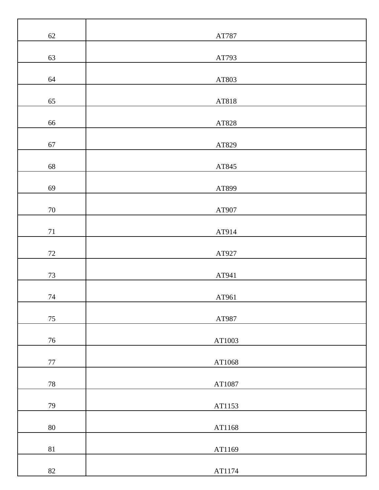| 62     | AT787  |
|--------|--------|
| 63     | AT793  |
| 64     | AT803  |
| 65     | AT818  |
| 66     | AT828  |
| 67     | AT829  |
| 68     | AT845  |
| 69     | AT899  |
| $70\,$ | AT907  |
| $71\,$ | AT914  |
| $72\,$ | AT927  |
| $73\,$ | AT941  |
| 74     | AT961  |
| $75\,$ | AT987  |
| $76\,$ | AT1003 |
| $77\,$ | AT1068 |
| $78\,$ | AT1087 |
| 79     | AT1153 |
| $80\,$ | AT1168 |
| $81\,$ | AT1169 |
| $82\,$ | AT1174 |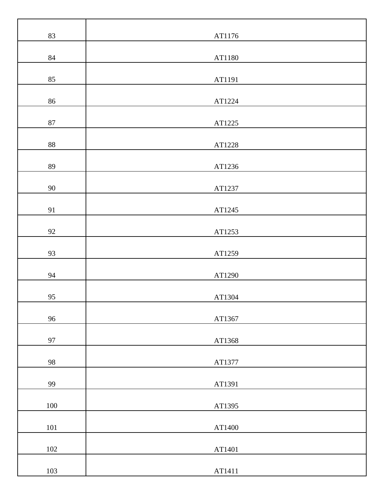| 83     | AT1176 |
|--------|--------|
| 84     | AT1180 |
| 85     | AT1191 |
| 86     | AT1224 |
| $87\,$ | AT1225 |
| $88\,$ | AT1228 |
| 89     | AT1236 |
| 90     | AT1237 |
| 91     | AT1245 |
| 92     | AT1253 |
| 93     | AT1259 |
| 94     | AT1290 |
| 95     | AT1304 |
| 96     | AT1367 |
| 97     | AT1368 |
| 98     | AT1377 |
| 99     | AT1391 |
| 100    | AT1395 |
| 101    | AT1400 |
| 102    | AT1401 |
| 103    | AT1411 |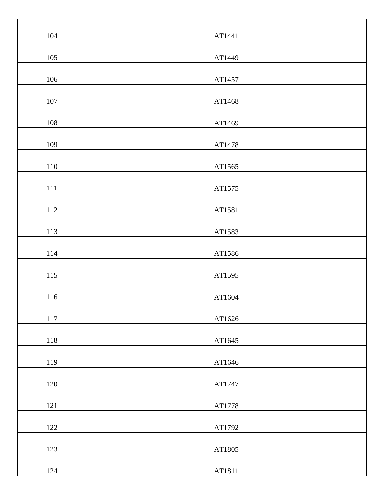| 104     | AT1441 |
|---------|--------|
| 105     | AT1449 |
| $106\,$ | AT1457 |
| $107\,$ | AT1468 |
| 108     | AT1469 |
| 109     | AT1478 |
| 110     | AT1565 |
| $111\,$ | AT1575 |
| $112\,$ | AT1581 |
| 113     | AT1583 |
| 114     | AT1586 |
| 115     | AT1595 |
| 116     | AT1604 |
| 117     | AT1626 |
| 118     | AT1645 |
| 119     | AT1646 |
| 120     | AT1747 |
| $121\,$ | AT1778 |
| 122     | AT1792 |
| 123     | AT1805 |
| 124     | AT1811 |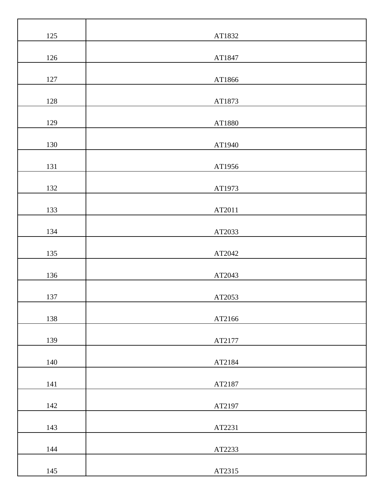| 125 | AT1832 |
|-----|--------|
| 126 | AT1847 |
| 127 | AT1866 |
| 128 | AT1873 |
| 129 | AT1880 |
| 130 | AT1940 |
| 131 | AT1956 |
| 132 | AT1973 |
| 133 | AT2011 |
| 134 | AT2033 |
| 135 | AT2042 |
| 136 | AT2043 |
| 137 | AT2053 |
| 138 | AT2166 |
| 139 | AT2177 |
| 140 | AT2184 |
| 141 | AT2187 |
| 142 | AT2197 |
| 143 | AT2231 |
| 144 | AT2233 |
| 145 | AT2315 |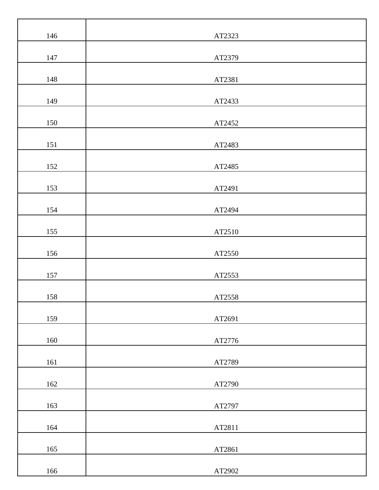| 146 | AT2323 |
|-----|--------|
| 147 | AT2379 |
| 148 | AT2381 |
| 149 | AT2433 |
| 150 | AT2452 |
| 151 | AT2483 |
| 152 | AT2485 |
| 153 | AT2491 |
| 154 | AT2494 |
| 155 | AT2510 |
| 156 | AT2550 |
| 157 | AT2553 |
| 158 | AT2558 |
| 159 | AT2691 |
| 160 | AT2776 |
| 161 | AT2789 |
| 162 | AT2790 |
| 163 | AT2797 |
| 164 | AT2811 |
| 165 | AT2861 |
| 166 | AT2902 |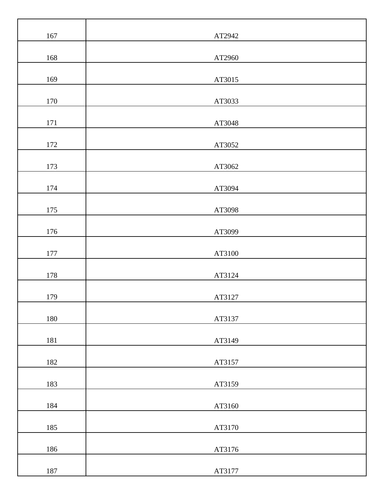| 167     | AT2942 |
|---------|--------|
| 168     | AT2960 |
| 169     | AT3015 |
| 170     | AT3033 |
| 171     | AT3048 |
| 172     | AT3052 |
| 173     | AT3062 |
| 174     | AT3094 |
| 175     | AT3098 |
| $176\,$ | AT3099 |
| $177\,$ | AT3100 |
| 178     | AT3124 |
| 179     | AT3127 |
| 180     | AT3137 |
| 181     | AT3149 |
| 182     | AT3157 |
| 183     | AT3159 |
| 184     | AT3160 |
| 185     | AT3170 |
| 186     | AT3176 |
| 187     | AT3177 |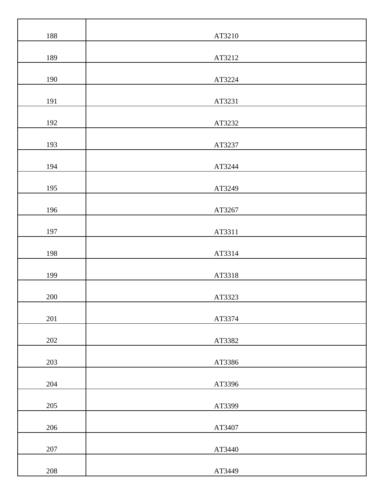| 188     | AT3210 |
|---------|--------|
| 189     | AT3212 |
| 190     | AT3224 |
| 191     | AT3231 |
| 192     | AT3232 |
| 193     | AT3237 |
| 194     | AT3244 |
| 195     | AT3249 |
| 196     | AT3267 |
| 197     | AT3311 |
| 198     | AT3314 |
| 199     | AT3318 |
| 200     | AT3323 |
| 201     | AT3374 |
| 202     | AT3382 |
| 203     | AT3386 |
| 204     | AT3396 |
| 205     | AT3399 |
| 206     | AT3407 |
| $207\,$ | AT3440 |
| 208     | AT3449 |